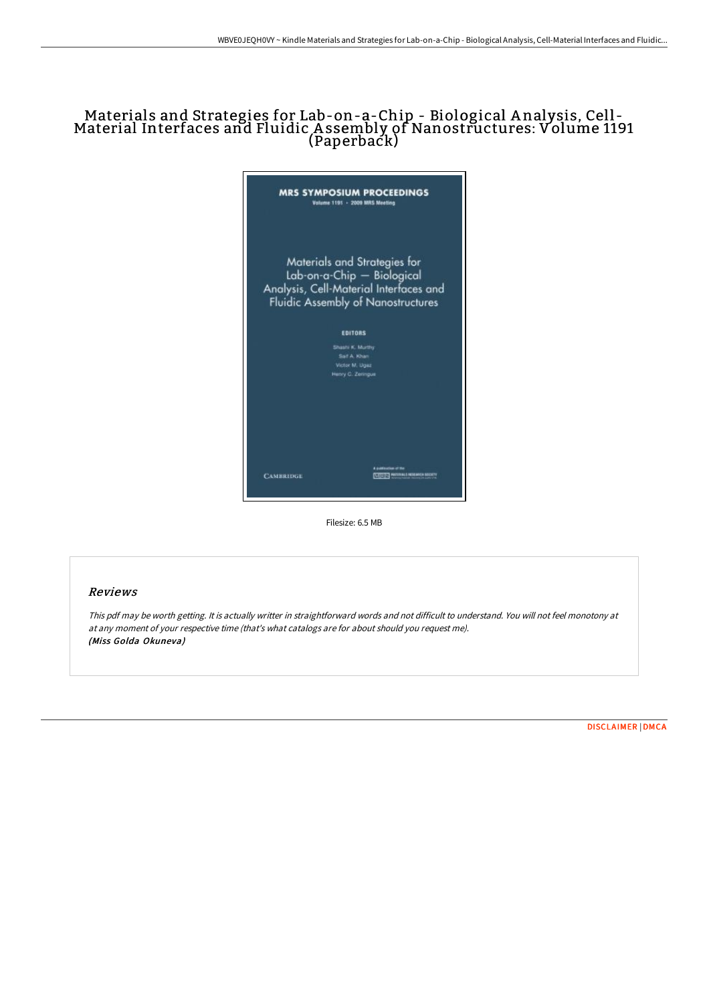# Materials and Strategies for Lab-on-a-Chip - Biological <sup>A</sup> nalysis, Cell - Material Interfaces and Fluidic <sup>A</sup> ssembly of Nanostructures: Volume <sup>1191</sup> (Paperback)



Filesize: 6.5 MB

#### Reviews

This pdf may be worth getting. It is actually writter in straightforward words and not difficult to understand. You will not feel monotony at at any moment of your respective time (that's what catalogs are for about should you request me). (Miss Golda Okuneva)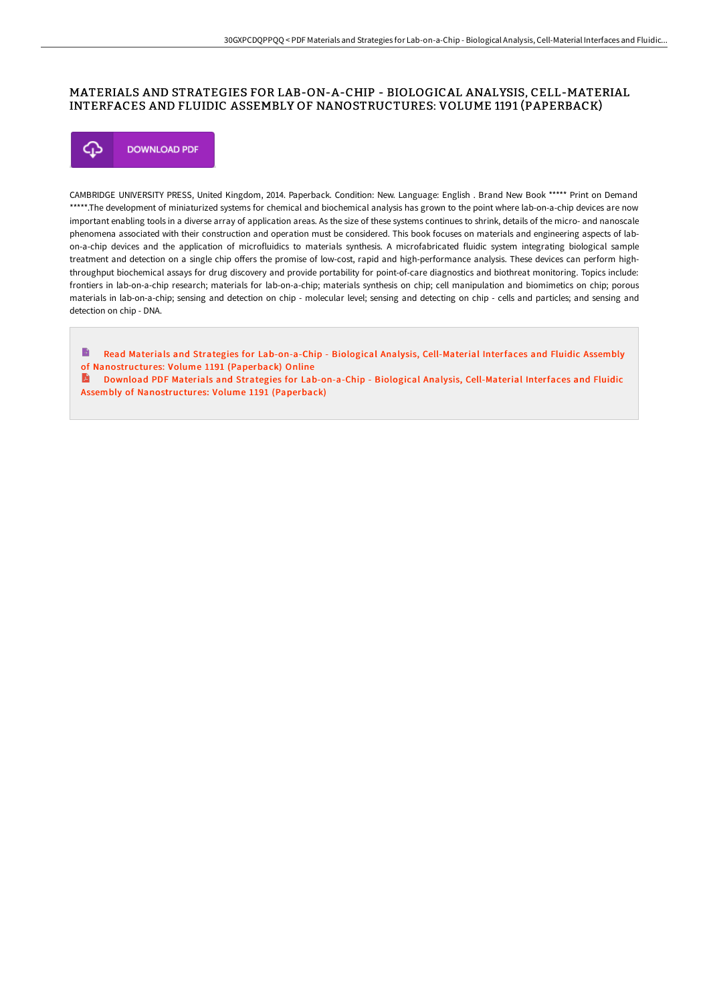### MATERIALS AND STRATEGIES FOR LAB-ON-A-CHIP - BIOLOGICAL ANALYSIS, CELL-MATERIAL INTERFACES AND FLUIDIC ASSEMBLY OF NANOSTRUCTURES: VOLUME 1191 (PAPERBACK)



CAMBRIDGE UNIVERSITY PRESS, United Kingdom, 2014. Paperback. Condition: New. Language: English . Brand New Book \*\*\*\*\* Print on Demand \*\*\*\*\*.The development of miniaturized systems for chemical and biochemical analysis has grown to the point where lab-on-a-chip devices are now important enabling tools in a diverse array of application areas. As the size of these systems continues to shrink, details of the micro- and nanoscale phenomena associated with their construction and operation must be considered. This book focuses on materials and engineering aspects of labon-a-chip devices and the application of microfluidics to materials synthesis. A microfabricated fluidic system integrating biological sample treatment and detection on a single chip offers the promise of low-cost, rapid and high-performance analysis. These devices can perform highthroughput biochemical assays for drug discovery and provide portability for point-of-care diagnostics and biothreat monitoring. Topics include: frontiers in lab-on-a-chip research; materials for lab-on-a-chip; materials synthesis on chip; cell manipulation and biomimetics on chip; porous materials in lab-on-a-chip; sensing and detection on chip - molecular level; sensing and detecting on chip - cells and particles; and sensing and detection on chip - DNA.

 $\rightarrow$ Read Materials and Strategies for Lab-on-a-Chip - Biological Analysis, Cell-Material Interfaces and Fluidic Assembly of [Nanostructures:](http://techno-pub.tech/materials-and-strategies-for-lab-on-a-chip-biolo.html) Volume 1191 (Paperback) Online

Download PDF Materials and Strategies for Lab-on-a-Chip - Biological Analysis, Cell-Material Interfaces and Fluidic Assembly of [Nanostructures:](http://techno-pub.tech/materials-and-strategies-for-lab-on-a-chip-biolo.html) Volume 1191 (Paperback)